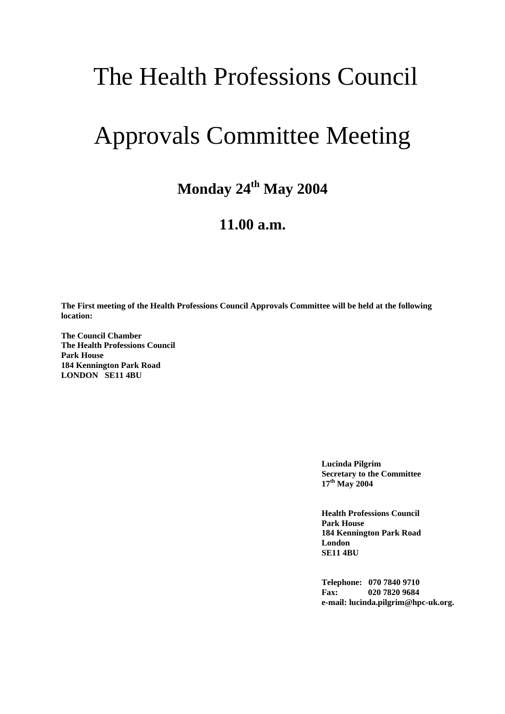## The Health Professions Council

## Approvals Committee Meeting

## **Monday 24th May 2004**

## **11.00 a.m.**

**The First meeting of the Health Professions Council Approvals Committee will be held at the following location:**

**The Council Chamber The Health Professions Council Park House 184 Kennington Park Road LONDON SE11 4BU**

> **Lucinda Pilgrim Secretary to the Committee 17th May 2004**

> **Health Professions Council Park House 184 Kennington Park Road London SE11 4BU**

**Telephone: 070 7840 9710 Fax: 020 7820 9684 e-mail: lucinda.pilgrim@hpc-uk.org.**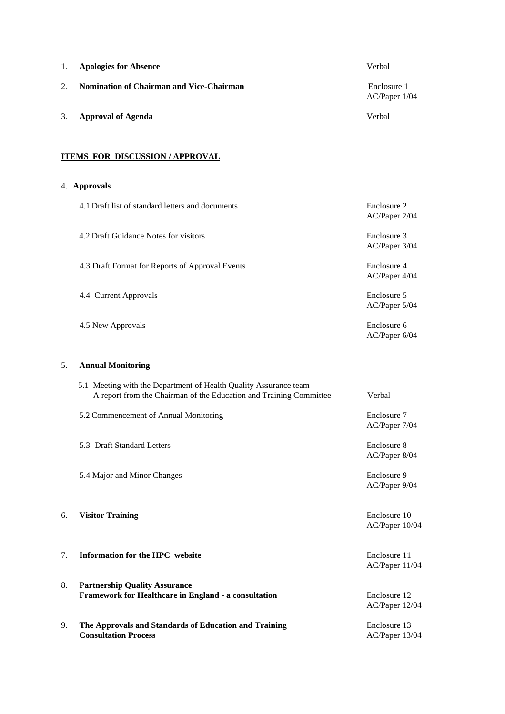| 1.                                   | <b>Apologies for Absence</b>                                                                                                           | Verbal                         |  |
|--------------------------------------|----------------------------------------------------------------------------------------------------------------------------------------|--------------------------------|--|
| 2.                                   | <b>Nomination of Chairman and Vice-Chairman</b>                                                                                        | Enclosure 1<br>AC/Paper 1/04   |  |
| 3.                                   | <b>Approval of Agenda</b>                                                                                                              | Verbal                         |  |
| <b>ITEMS FOR DISCUSSION/APPROVAL</b> |                                                                                                                                        |                                |  |
|                                      | 4. Approvals                                                                                                                           |                                |  |
|                                      | 4.1 Draft list of standard letters and documents                                                                                       | Enclosure 2<br>AC/Paper 2/04   |  |
|                                      | 4.2 Draft Guidance Notes for visitors                                                                                                  | Enclosure 3<br>AC/Paper 3/04   |  |
|                                      | 4.3 Draft Format for Reports of Approval Events                                                                                        | Enclosure 4<br>AC/Paper 4/04   |  |
|                                      | 4.4 Current Approvals                                                                                                                  | Enclosure 5<br>AC/Paper 5/04   |  |
|                                      | 4.5 New Approvals                                                                                                                      | Enclosure 6<br>AC/Paper 6/04   |  |
| 5.                                   | <b>Annual Monitoring</b>                                                                                                               |                                |  |
|                                      | 5.1 Meeting with the Department of Health Quality Assurance team<br>A report from the Chairman of the Education and Training Committee | Verbal                         |  |
|                                      | 5.2 Commencement of Annual Monitoring                                                                                                  | Enclosure 7<br>AC/Paper 7/04   |  |
|                                      | 5.3 Draft Standard Letters                                                                                                             | Enclosure 8<br>AC/Paper 8/04   |  |
|                                      | 5.4 Major and Minor Changes                                                                                                            | Enclosure 9<br>AC/Paper 9/04   |  |
| 6.                                   | <b>Visitor Training</b>                                                                                                                | Enclosure 10<br>AC/Paper 10/04 |  |
| 7.                                   | Information for the HPC website                                                                                                        | Enclosure 11<br>AC/Paper 11/04 |  |
| 8.                                   | <b>Partnership Quality Assurance</b><br>Framework for Healthcare in England - a consultation                                           | Enclosure 12<br>AC/Paper 12/04 |  |
| 9.                                   | The Approvals and Standards of Education and Training<br><b>Consultation Process</b>                                                   | Enclosure 13<br>AC/Paper 13/04 |  |